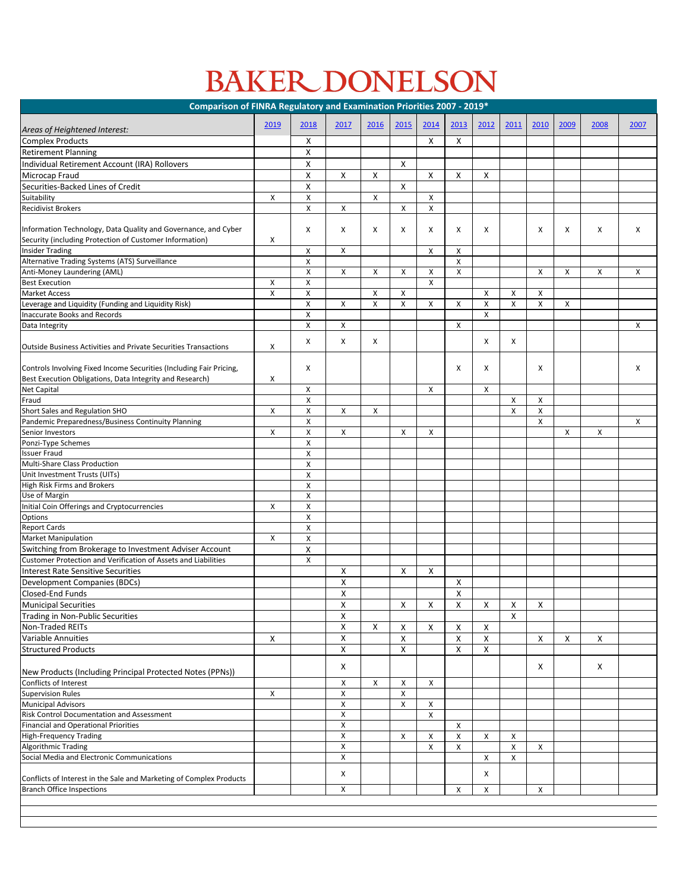## BAKER DONELSON

| Comparison of FINRA Regulatory and Examination Priorities 2007 - 2019*                                                   |                    |                    |                    |                           |                           |                    |                    |                    |                           |                |      |      |      |
|--------------------------------------------------------------------------------------------------------------------------|--------------------|--------------------|--------------------|---------------------------|---------------------------|--------------------|--------------------|--------------------|---------------------------|----------------|------|------|------|
|                                                                                                                          | 2019               | 2018               | 2017               | 2016                      | 2015                      | 2014               | 2013               | 2012               | 2011                      | 2010           | 2009 | 2008 | 2007 |
| Areas of Heightened Interest:                                                                                            |                    |                    |                    |                           |                           |                    |                    |                    |                           |                |      |      |      |
| Complex Products                                                                                                         |                    | X                  |                    |                           |                           | X                  | X                  |                    |                           |                |      |      |      |
| <b>Retirement Planning</b>                                                                                               |                    | X                  |                    |                           |                           |                    |                    |                    |                           |                |      |      |      |
| Individual Retirement Account (IRA) Rollovers                                                                            |                    | X                  |                    |                           | X                         |                    |                    |                    |                           |                |      |      |      |
| Microcap Fraud<br>Securities-Backed Lines of Credit                                                                      |                    | X                  | X                  | X                         | X                         | X                  | $\pmb{\mathsf{X}}$ | X                  |                           |                |      |      |      |
| Suitability                                                                                                              | X                  | X<br>X             |                    | $\boldsymbol{\mathsf{X}}$ |                           | X                  |                    |                    |                           |                |      |      |      |
| <b>Recidivist Brokers</b>                                                                                                |                    | Χ                  | $\mathsf{X}$       |                           | $\pmb{\times}$            | $\pmb{\mathsf{X}}$ |                    |                    |                           |                |      |      |      |
|                                                                                                                          |                    |                    |                    |                           |                           |                    |                    |                    |                           |                |      |      |      |
| Information Technology, Data Quality and Governance, and Cyber                                                           |                    | X                  | X                  | X                         | X                         | X                  | X                  | X                  |                           | X              | X    | X    | Χ    |
| Security (including Protection of Customer Information)<br><b>Insider Trading</b>                                        | X                  | X                  | X                  |                           |                           | X                  | Χ                  |                    |                           |                |      |      |      |
| Alternative Trading Systems (ATS) Surveillance                                                                           |                    | X                  |                    |                           |                           |                    | X                  |                    |                           |                |      |      |      |
| Anti-Money Laundering (AML)                                                                                              |                    | Χ                  | $\mathsf{X}$       | X                         | $\mathsf{X}$              | $\pmb{\times}$     | $\pmb{\mathsf{X}}$ |                    |                           | X              | X    | X    | X    |
| <b>Best Execution</b>                                                                                                    | Χ                  | Χ                  |                    |                           |                           | X                  |                    |                    |                           |                |      |      |      |
| <b>Market Access</b>                                                                                                     | $\mathsf{\chi}$    | X                  |                    | $\pmb{\mathsf{X}}$        | $\mathsf{X}$              |                    |                    | $\pmb{\mathsf{X}}$ | $\boldsymbol{\mathsf{X}}$ | $\pmb{\times}$ |      |      |      |
| Leverage and Liquidity (Funding and Liquidity Risk)                                                                      |                    | Χ                  | $\mathsf{X}$       | X                         | X                         | $\pmb{\mathsf{X}}$ | X                  | $\pmb{\mathsf{X}}$ | X                         | X              | X    |      |      |
| Inaccurate Books and Records                                                                                             |                    | X                  |                    |                           |                           |                    |                    | X                  |                           |                |      |      |      |
| Data Integrity                                                                                                           |                    | X                  | X                  |                           |                           |                    | Χ                  |                    |                           |                |      |      | Χ    |
| <b>Outside Business Activities and Private Securities Transactions</b>                                                   | X                  | X                  | X                  | Χ                         |                           |                    |                    | X                  | X                         |                |      |      |      |
| Controls Involving Fixed Income Securities (Including Fair Pricing,                                                      |                    | X                  |                    |                           |                           |                    | Χ                  | X                  |                           | X              |      |      | Χ    |
| Best Execution Obligations, Data Integrity and Research)                                                                 | X                  |                    |                    |                           |                           |                    |                    |                    |                           |                |      |      |      |
| <b>Net Capital</b>                                                                                                       |                    | X                  |                    |                           |                           | $\mathsf{X}$       |                    | $\mathsf{X}$       |                           |                |      |      |      |
| Fraud                                                                                                                    |                    | Χ                  |                    |                           |                           |                    |                    |                    | $\boldsymbol{\mathsf{X}}$ | X              |      |      |      |
| Short Sales and Regulation SHO                                                                                           | X                  | X                  | X                  | X                         |                           |                    |                    |                    | $\pmb{\mathsf{X}}$        | $\pmb{\times}$ |      |      |      |
| Pandemic Preparedness/Business Continuity Planning<br>Senior Investors                                                   | X                  | Χ<br>X             | X                  |                           | X                         | X                  |                    |                    |                           | X              | X    | X    | X    |
| Ponzi-Type Schemes                                                                                                       |                    | Χ                  |                    |                           |                           |                    |                    |                    |                           |                |      |      |      |
| <b>Issuer Fraud</b>                                                                                                      |                    | Χ                  |                    |                           |                           |                    |                    |                    |                           |                |      |      |      |
| Multi-Share Class Production                                                                                             |                    | Χ                  |                    |                           |                           |                    |                    |                    |                           |                |      |      |      |
| Unit Investment Trusts (UITs)                                                                                            |                    | $\pmb{\mathsf{X}}$ |                    |                           |                           |                    |                    |                    |                           |                |      |      |      |
| High Risk Firms and Brokers                                                                                              |                    | Χ                  |                    |                           |                           |                    |                    |                    |                           |                |      |      |      |
| Use of Margin                                                                                                            |                    | Χ                  |                    |                           |                           |                    |                    |                    |                           |                |      |      |      |
| Initial Coin Offerings and Cryptocurrencies                                                                              | X                  | Χ                  |                    |                           |                           |                    |                    |                    |                           |                |      |      |      |
| <b>Options</b>                                                                                                           |                    | Χ                  |                    |                           |                           |                    |                    |                    |                           |                |      |      |      |
| <b>Report Cards</b>                                                                                                      |                    | Χ                  |                    |                           |                           |                    |                    |                    |                           |                |      |      |      |
| <b>Market Manipulation</b>                                                                                               | $\pmb{\times}$     | Χ                  |                    |                           |                           |                    |                    |                    |                           |                |      |      |      |
| Switching from Brokerage to Investment Adviser Account<br>Customer Protection and Verification of Assets and Liabilities |                    | Χ<br>Χ             |                    |                           |                           |                    |                    |                    |                           |                |      |      |      |
| Interest Rate Sensitive Securities                                                                                       |                    |                    | X                  |                           | X                         | X                  |                    |                    |                           |                |      |      |      |
| Development Companies (BDCs)                                                                                             |                    |                    | X                  |                           |                           |                    | Χ                  |                    |                           |                |      |      |      |
| <b>Closed-End Funds</b>                                                                                                  |                    |                    | X                  |                           |                           |                    | Χ                  |                    |                           |                |      |      |      |
| <b>Municipal Securities</b>                                                                                              |                    |                    | X                  |                           | $\mathsf{X}$              | X                  | X                  | X                  | X                         | X              |      |      |      |
| Trading in Non-Public Securities                                                                                         |                    |                    | $\pmb{\mathsf{X}}$ |                           |                           |                    |                    |                    | X                         |                |      |      |      |
| Non-Traded REITs                                                                                                         |                    |                    | X                  | X                         | X                         | X                  | X                  | X                  |                           |                |      |      |      |
| <b>Variable Annuities</b>                                                                                                | X                  |                    | $\pmb{\mathsf{X}}$ |                           | X                         |                    | X                  | X                  |                           | X              | Χ    | X    |      |
| <b>Structured Products</b>                                                                                               |                    |                    | X                  |                           | X                         |                    | Χ                  | Χ                  |                           |                |      |      |      |
|                                                                                                                          |                    |                    |                    |                           |                           |                    |                    |                    |                           |                |      |      |      |
| New Products (Including Principal Protected Notes (PPNs))<br>Conflicts of Interest                                       |                    |                    | X<br>X             | X                         | $\boldsymbol{\mathsf{X}}$ | $\pmb{\mathsf{X}}$ |                    |                    |                           | X              |      | X    |      |
| <b>Supervision Rules</b>                                                                                                 | $\pmb{\mathsf{X}}$ |                    | $\mathsf X$        |                           | X                         |                    |                    |                    |                           |                |      |      |      |
| <b>Municipal Advisors</b>                                                                                                |                    |                    | $\pmb{\times}$     |                           | X                         | X                  |                    |                    |                           |                |      |      |      |
| <b>Risk Control Documentation and Assessment</b>                                                                         |                    |                    | $\pmb{\times}$     |                           |                           | $\pmb{\mathsf{X}}$ |                    |                    |                           |                |      |      |      |
| <b>Financial and Operational Priorities</b>                                                                              |                    |                    | X                  |                           |                           |                    | Χ                  |                    |                           |                |      |      |      |
| High-Frequency Trading                                                                                                   |                    |                    | $\pmb{\times}$     |                           | X                         | $\pmb{\times}$     | X                  | $\pmb{\mathsf{X}}$ | X                         |                |      |      |      |
| Algorithmic Trading                                                                                                      |                    |                    | $\pmb{\mathsf{X}}$ |                           |                           | X                  | X                  |                    | X                         | $\mathsf{X}$   |      |      |      |
| Social Media and Electronic Communications                                                                               |                    |                    | X                  |                           |                           |                    |                    | X                  | X                         |                |      |      |      |
| Conflicts of Interest in the Sale and Marketing of Complex Products                                                      |                    |                    | $\mathsf X$        |                           |                           |                    |                    | Χ                  |                           |                |      |      |      |
| <b>Branch Office Inspections</b>                                                                                         |                    |                    | $\mathsf{X}$       |                           |                           |                    | $\mathsf{X}$       | X                  |                           | $\mathsf{X}^-$ |      |      |      |
|                                                                                                                          |                    |                    |                    |                           |                           |                    |                    |                    |                           |                |      |      |      |
|                                                                                                                          |                    |                    |                    |                           |                           |                    |                    |                    |                           |                |      |      |      |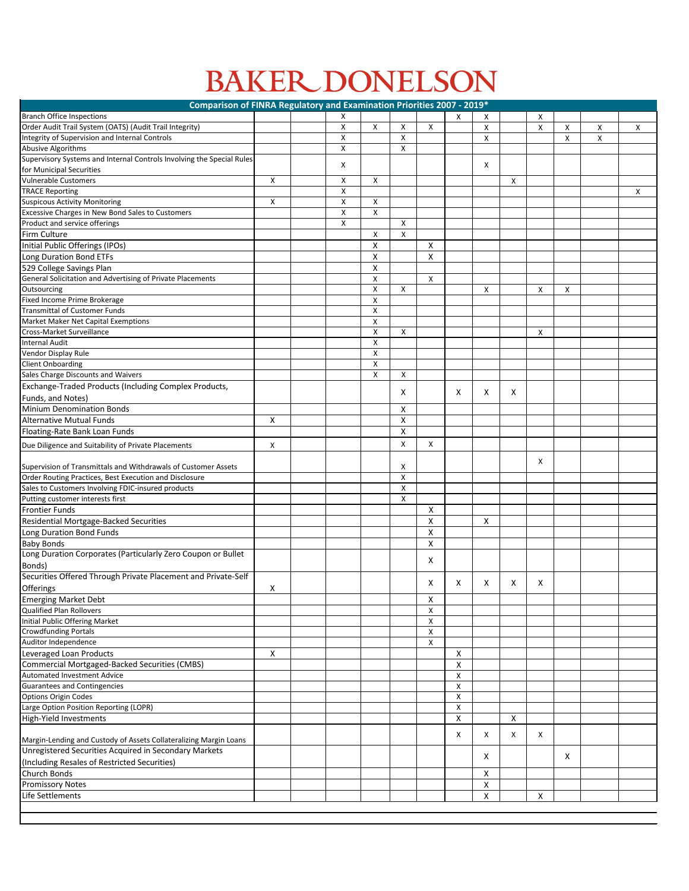## BAKER DONELSON

| Comparison of FINRA Regulatory and Examination Priorities 2007 - 2019*                                                     |   |  |                           |                           |                    |              |                    |                    |                           |   |                    |              |                           |
|----------------------------------------------------------------------------------------------------------------------------|---|--|---------------------------|---------------------------|--------------------|--------------|--------------------|--------------------|---------------------------|---|--------------------|--------------|---------------------------|
| <b>Branch Office Inspections</b>                                                                                           |   |  | X                         |                           |                    |              | X                  | X                  |                           | X |                    |              |                           |
| Order Audit Trail System (OATS) (Audit Trail Integrity)                                                                    |   |  | X                         | X                         | X                  | $\mathsf{x}$ |                    | $\pmb{\mathsf{X}}$ |                           | X | $\pmb{\mathsf{X}}$ | $\mathsf{X}$ | $\mathsf{X}$              |
| Integrity of Supervision and Internal Controls                                                                             |   |  | $\boldsymbol{\mathsf{X}}$ |                           | $\mathsf{X}$       |              |                    | $\pmb{\mathsf{X}}$ |                           |   | X                  | χ            |                           |
| Abusive Algorithms                                                                                                         |   |  | X                         |                           | X                  |              |                    |                    |                           |   |                    |              |                           |
| Supervisory Systems and Internal Controls Involving the Special Rules                                                      |   |  |                           |                           |                    |              |                    |                    |                           |   |                    |              |                           |
| for Municipal Securities                                                                                                   |   |  | X                         |                           |                    |              |                    | X                  |                           |   |                    |              |                           |
| <b>Vulnerable Customers</b>                                                                                                | X |  | X                         | $\boldsymbol{\mathsf{X}}$ |                    |              |                    |                    | $\boldsymbol{\mathsf{X}}$ |   |                    |              |                           |
| <b>TRACE Reporting</b>                                                                                                     |   |  | Χ                         |                           |                    |              |                    |                    |                           |   |                    |              | $\boldsymbol{\mathsf{X}}$ |
| <b>Suspicous Activity Monitoring</b>                                                                                       | X |  | X                         | X                         |                    |              |                    |                    |                           |   |                    |              |                           |
| Excessive Charges in New Bond Sales to Customers                                                                           |   |  | X                         | X                         |                    |              |                    |                    |                           |   |                    |              |                           |
| Product and service offerings                                                                                              |   |  | $\pmb{\mathsf{X}}$        |                           | $\pmb{\times}$     |              |                    |                    |                           |   |                    |              |                           |
| Firm Culture                                                                                                               |   |  |                           | X                         | X                  |              |                    |                    |                           |   |                    |              |                           |
| Initial Public Offerings (IPOs)                                                                                            |   |  |                           | X                         |                    | X            |                    |                    |                           |   |                    |              |                           |
| Long Duration Bond ETFs                                                                                                    |   |  |                           | X                         |                    | X            |                    |                    |                           |   |                    |              |                           |
| 529 College Savings Plan                                                                                                   |   |  |                           | X                         |                    |              |                    |                    |                           |   |                    |              |                           |
| General Solicitation and Advertising of Private Placements                                                                 |   |  |                           | $\boldsymbol{\mathsf{X}}$ |                    | X            |                    |                    |                           |   |                    |              |                           |
| Outsourcing                                                                                                                |   |  |                           | $\boldsymbol{\mathsf{X}}$ | X                  |              |                    | X                  |                           | Χ | X                  |              |                           |
| Fixed Income Prime Brokerage                                                                                               |   |  |                           | $\boldsymbol{\mathsf{X}}$ |                    |              |                    |                    |                           |   |                    |              |                           |
| Transmittal of Customer Funds                                                                                              |   |  |                           | X                         |                    |              |                    |                    |                           |   |                    |              |                           |
| Market Maker Net Capital Exemptions                                                                                        |   |  |                           | X                         |                    |              |                    |                    |                           |   |                    |              |                           |
| <b>Cross-Market Surveillance</b>                                                                                           |   |  |                           | X                         | X                  |              |                    |                    |                           | X |                    |              |                           |
| Internal Audit                                                                                                             |   |  |                           | X                         |                    |              |                    |                    |                           |   |                    |              |                           |
| Vendor Display Rule                                                                                                        |   |  |                           | X                         |                    |              |                    |                    |                           |   |                    |              |                           |
| <b>Client Onboarding</b>                                                                                                   |   |  |                           | X                         |                    |              |                    |                    |                           |   |                    |              |                           |
| Sales Charge Discounts and Waivers                                                                                         |   |  |                           | $\boldsymbol{\mathsf{X}}$ | $\pmb{\times}$     |              |                    |                    |                           |   |                    |              |                           |
| Exchange-Traded Products (Including Complex Products,                                                                      |   |  |                           |                           |                    |              |                    |                    |                           |   |                    |              |                           |
| Funds, and Notes)                                                                                                          |   |  |                           |                           | X                  |              | X                  | X                  | X                         |   |                    |              |                           |
| Minium Denomination Bonds                                                                                                  |   |  |                           |                           | X                  |              |                    |                    |                           |   |                    |              |                           |
| Alternative Mutual Funds                                                                                                   | X |  |                           |                           | $\pmb{\mathsf{X}}$ |              |                    |                    |                           |   |                    |              |                           |
| Floating-Rate Bank Loan Funds                                                                                              |   |  |                           |                           | X                  |              |                    |                    |                           |   |                    |              |                           |
| Due Diligence and Suitability of Private Placements                                                                        | Χ |  |                           |                           | $\pmb{\mathsf{X}}$ | Χ            |                    |                    |                           |   |                    |              |                           |
|                                                                                                                            |   |  |                           |                           |                    |              |                    |                    |                           |   |                    |              |                           |
| Supervision of Transmittals and Withdrawals of Customer Assets                                                             |   |  |                           |                           | х                  |              |                    |                    |                           | X |                    |              |                           |
| Order Routing Practices, Best Execution and Disclosure                                                                     |   |  |                           |                           | $\pmb{\mathsf{X}}$ |              |                    |                    |                           |   |                    |              |                           |
| Sales to Customers Involving FDIC-insured products                                                                         |   |  |                           |                           | X                  |              |                    |                    |                           |   |                    |              |                           |
| Putting customer interests first                                                                                           |   |  |                           |                           | Χ                  |              |                    |                    |                           |   |                    |              |                           |
| Frontier Funds                                                                                                             |   |  |                           |                           |                    | X            |                    |                    |                           |   |                    |              |                           |
| Residential Mortgage-Backed Securities                                                                                     |   |  |                           |                           |                    | X            |                    | X                  |                           |   |                    |              |                           |
| Long Duration Bond Funds                                                                                                   |   |  |                           |                           |                    | X            |                    |                    |                           |   |                    |              |                           |
| <b>Baby Bonds</b>                                                                                                          |   |  |                           |                           |                    | X            |                    |                    |                           |   |                    |              |                           |
| Long Duration Corporates (Particularly Zero Coupon or Bullet                                                               |   |  |                           |                           |                    |              |                    |                    |                           |   |                    |              |                           |
| Bonds)                                                                                                                     |   |  |                           |                           |                    | X            |                    |                    |                           |   |                    |              |                           |
| Securities Offered Through Private Placement and Private-Self                                                              |   |  |                           |                           |                    |              |                    |                    |                           |   |                    |              |                           |
|                                                                                                                            |   |  |                           |                           |                    | X            | X                  | X                  | X                         | X |                    |              |                           |
| <b>Offerings</b>                                                                                                           | X |  |                           |                           |                    |              |                    |                    |                           |   |                    |              |                           |
| <b>Emerging Market Debt</b><br>Qualified Plan Rollovers                                                                    |   |  |                           |                           |                    | Χ            |                    |                    |                           |   |                    |              |                           |
|                                                                                                                            |   |  |                           |                           |                    | X            |                    |                    |                           |   |                    |              |                           |
| Initial Public Offering Market                                                                                             |   |  |                           |                           |                    | X            |                    |                    |                           |   |                    |              |                           |
| <b>Crowdfunding Portals</b><br>Auditor Independence                                                                        |   |  |                           |                           |                    | X<br>Χ       |                    |                    |                           |   |                    |              |                           |
|                                                                                                                            | X |  |                           |                           |                    |              | Χ                  |                    |                           |   |                    |              |                           |
| Leveraged Loan Products<br>Commercial Mortgaged-Backed Securities (CMBS)                                                   |   |  |                           |                           |                    |              | X                  |                    |                           |   |                    |              |                           |
| <b>Automated Investment Advice</b>                                                                                         |   |  |                           |                           |                    |              |                    |                    |                           |   |                    |              |                           |
|                                                                                                                            |   |  |                           |                           |                    |              | Χ                  |                    |                           |   |                    |              |                           |
| <b>Guarantees and Contingencies</b><br>Options Origin Codes                                                                |   |  |                           |                           |                    |              | $\pmb{\mathsf{X}}$ |                    |                           |   |                    |              |                           |
| Large Option Position Reporting (LOPR)                                                                                     |   |  |                           |                           |                    |              | Χ<br>Χ             |                    |                           |   |                    |              |                           |
|                                                                                                                            |   |  |                           |                           |                    |              | X                  |                    | X                         |   |                    |              |                           |
| High-Yield Investments                                                                                                     |   |  |                           |                           |                    |              |                    |                    |                           |   |                    |              |                           |
|                                                                                                                            |   |  |                           |                           |                    |              | X                  | X                  | X                         | X |                    |              |                           |
| Margin-Lending and Custody of Assets Collateralizing Margin Loans<br>Unregistered Securities Acquired in Secondary Markets |   |  |                           |                           |                    |              |                    |                    |                           |   |                    |              |                           |
|                                                                                                                            |   |  |                           |                           |                    |              |                    | X                  |                           |   | X                  |              |                           |
| (Including Resales of Restricted Securities)                                                                               |   |  |                           |                           |                    |              |                    |                    |                           |   |                    |              |                           |
| Church Bonds                                                                                                               |   |  |                           |                           |                    |              |                    | X                  |                           |   |                    |              |                           |
| <b>Promissory Notes</b>                                                                                                    |   |  |                           |                           |                    |              |                    | $\pmb{\mathsf{X}}$ |                           |   |                    |              |                           |
| Life Settlements                                                                                                           |   |  |                           |                           |                    |              |                    | $\pmb{\times}$     |                           | X |                    |              |                           |
|                                                                                                                            |   |  |                           |                           |                    |              |                    |                    |                           |   |                    |              |                           |